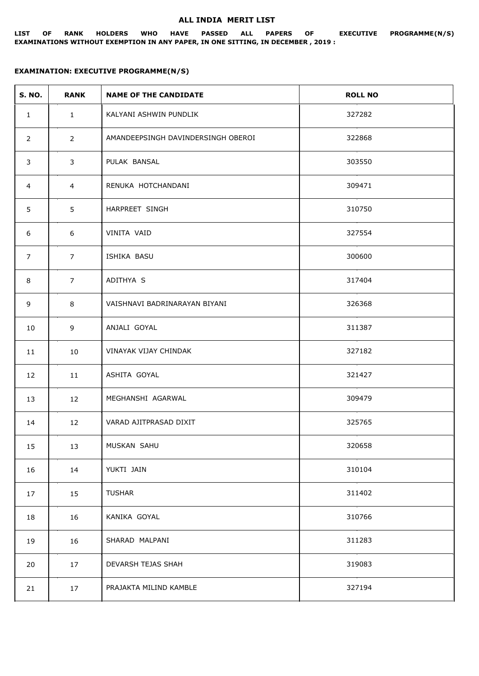## **ALL INDIA MERIT LIST**

## **LIST OF RANK HOLDERS WHO HAVE PASSED ALL PAPERS OF EXECUTIVE PROGRAMME(N/S) EXAMINATIONS WITHOUT EXEMPTION IN ANY PAPER, IN ONE SITTING, IN DECEMBER , 2019 :**

## **EXAMINATION: EXECUTIVE PROGRAMME(N/S)**

| <b>S. NO.</b>  | <b>RANK</b>    | <b>NAME OF THE CANDIDATE</b>       | <b>ROLL NO</b> |
|----------------|----------------|------------------------------------|----------------|
| $\mathbf{1}$   | $\mathbf{1}$   | KALYANI ASHWIN PUNDLIK             | 327282         |
| $\overline{2}$ | $\overline{2}$ | AMANDEEPSINGH DAVINDERSINGH OBEROI | 322868         |
| 3              | 3              | PULAK BANSAL                       | 303550         |
| 4              | $\overline{4}$ | RENUKA HOTCHANDANI                 | 309471         |
| 5              | 5              | HARPREET SINGH                     | 310750         |
| 6              | 6              | VINITA VAID                        | 327554         |
| $\overline{7}$ | $\overline{7}$ | ISHIKA BASU                        | 300600         |
| 8              | $\overline{7}$ | ADITHYA S                          | 317404         |
| 9              | 8              | VAISHNAVI BADRINARAYAN BIYANI      | 326368         |
| 10             | 9              | ANJALI GOYAL                       | 311387         |
| 11             | 10             | VINAYAK VIJAY CHINDAK              | 327182         |
| 12             | 11             | ASHITA GOYAL                       | 321427         |
| 13             | 12             | MEGHANSHI AGARWAL                  | 309479         |
| 14             | 12             | VARAD AJITPRASAD DIXIT             | 325765         |
| 15             | 13             | MUSKAN SAHU                        | 320658         |
| 16             | 14             | YUKTI JAIN                         | 310104         |
| 17             | 15             | <b>TUSHAR</b>                      | 311402         |
| 18             | 16             | KANIKA GOYAL                       | 310766         |
| 19             | 16             | SHARAD MALPANI                     | 311283         |
| 20             | 17             | DEVARSH TEJAS SHAH                 | 319083         |
| 21             | 17             | PRAJAKTA MILIND KAMBLE             | 327194         |